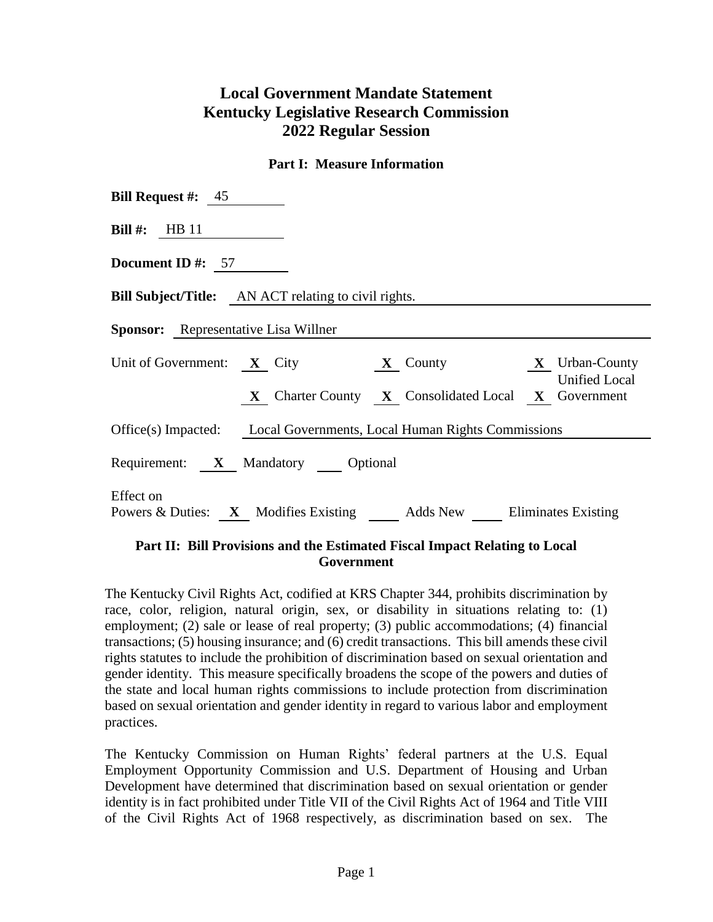# **Local Government Mandate Statement Kentucky Legislative Research Commission 2022 Regular Session**

#### **Part I: Measure Information**

| <b>Bill Request #:</b> $45$                                                      |  |  |
|----------------------------------------------------------------------------------|--|--|
| <b>Bill</b> #: HB 11                                                             |  |  |
| <b>Document ID #:</b> $57$                                                       |  |  |
| <b>Bill Subject/Title:</b> AN ACT relating to civil rights.                      |  |  |
| <b>Sponsor:</b> Representative Lisa Willner                                      |  |  |
| Unit of Government: $X$ City $X$ County $X$ Urban-County<br><b>Unified Local</b> |  |  |
| X Charter County X Consolidated Local X Government                               |  |  |
| Office(s) Impacted: Local Governments, Local Human Rights Commissions            |  |  |
| Requirement: X Mandatory Optional                                                |  |  |
| Effect on<br>Powers & Duties: X Modifies Existing Adds New Eliminates Existing   |  |  |

## **Part II: Bill Provisions and the Estimated Fiscal Impact Relating to Local Government**

The Kentucky Civil Rights Act, codified at KRS Chapter 344, prohibits discrimination by race, color, religion, natural origin, sex, or disability in situations relating to: (1) employment; (2) sale or lease of real property; (3) public accommodations; (4) financial transactions; (5) housing insurance; and (6) credit transactions. This bill amends these civil rights statutes to include the prohibition of discrimination based on sexual orientation and gender identity. This measure specifically broadens the scope of the powers and duties of the state and local human rights commissions to include protection from discrimination based on sexual orientation and gender identity in regard to various labor and employment practices.

The Kentucky Commission on Human Rights' federal partners at the U.S. Equal Employment Opportunity Commission and U.S. Department of Housing and Urban Development have determined that discrimination based on sexual orientation or gender identity is in fact prohibited under Title VII of the Civil Rights Act of 1964 and Title VIII of the Civil Rights Act of 1968 respectively, as discrimination based on sex. The